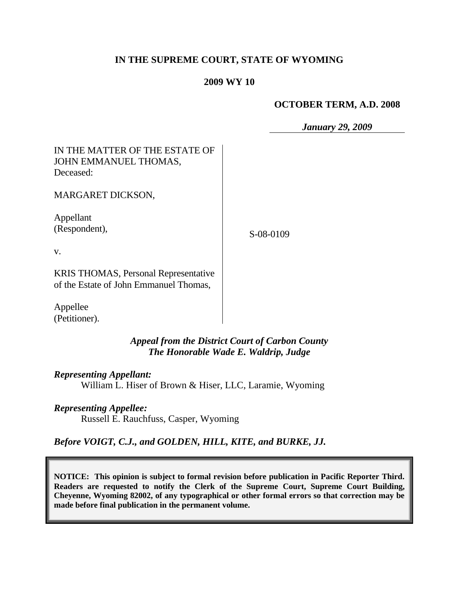## **IN THE SUPREME COURT, STATE OF WYOMING**

### **2009 WY 10**

#### **OCTOBER TERM, A.D. 2008**

*January 29, 2009*

# IN THE MATTER OF THE ESTATE OF JOHN EMMANUEL THOMAS, Deceased:

MARGARET DICKSON,

Appellant (Respondent),

S-08-0109

v.

KRIS THOMAS, Personal Representative of the Estate of John Emmanuel Thomas,

Appellee (Petitioner).

> *Appeal from the District Court of Carbon County The Honorable Wade E. Waldrip, Judge*

### *Representing Appellant:*

William L. Hiser of Brown & Hiser, LLC, Laramie, Wyoming

### *Representing Appellee:*

Russell E. Rauchfuss, Casper, Wyoming

# *Before VOIGT, C.J., and GOLDEN, HILL, KITE, and BURKE, JJ.*

**NOTICE: This opinion is subject to formal revision before publication in Pacific Reporter Third. Readers are requested to notify the Clerk of the Supreme Court, Supreme Court Building, Cheyenne, Wyoming 82002, of any typographical or other formal errors so that correction may be made before final publication in the permanent volume.**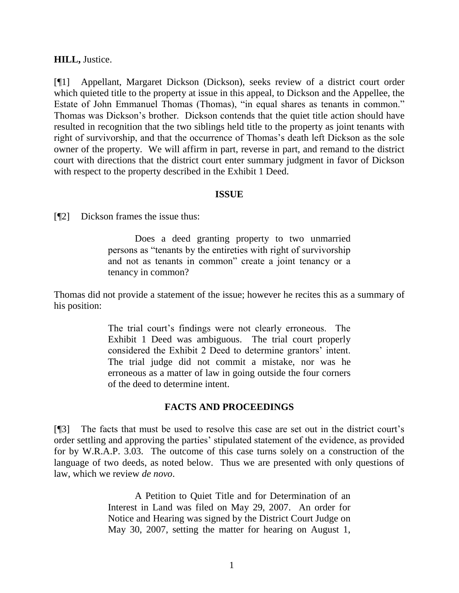### **HILL,** Justice.

[¶1] Appellant, Margaret Dickson (Dickson), seeks review of a district court order which quieted title to the property at issue in this appeal, to Dickson and the Appellee, the Estate of John Emmanuel Thomas (Thomas), "in equal shares as tenants in common." Thomas was Dickson"s brother. Dickson contends that the quiet title action should have resulted in recognition that the two siblings held title to the property as joint tenants with right of survivorship, and that the occurrence of Thomas"s death left Dickson as the sole owner of the property. We will affirm in part, reverse in part, and remand to the district court with directions that the district court enter summary judgment in favor of Dickson with respect to the property described in the Exhibit 1 Deed.

### **ISSUE**

[¶2] Dickson frames the issue thus:

Does a deed granting property to two unmarried persons as "tenants by the entireties with right of survivorship and not as tenants in common" create a joint tenancy or a tenancy in common?

Thomas did not provide a statement of the issue; however he recites this as a summary of his position:

> The trial court's findings were not clearly erroneous. The Exhibit 1 Deed was ambiguous. The trial court properly considered the Exhibit 2 Deed to determine grantors" intent. The trial judge did not commit a mistake, nor was he erroneous as a matter of law in going outside the four corners of the deed to determine intent.

### **FACTS AND PROCEEDINGS**

[¶3] The facts that must be used to resolve this case are set out in the district court"s order settling and approving the parties" stipulated statement of the evidence, as provided for by W.R.A.P. 3.03. The outcome of this case turns solely on a construction of the language of two deeds, as noted below. Thus we are presented with only questions of law, which we review *de novo*.

> A Petition to Quiet Title and for Determination of an Interest in Land was filed on May 29, 2007. An order for Notice and Hearing was signed by the District Court Judge on May 30, 2007, setting the matter for hearing on August 1,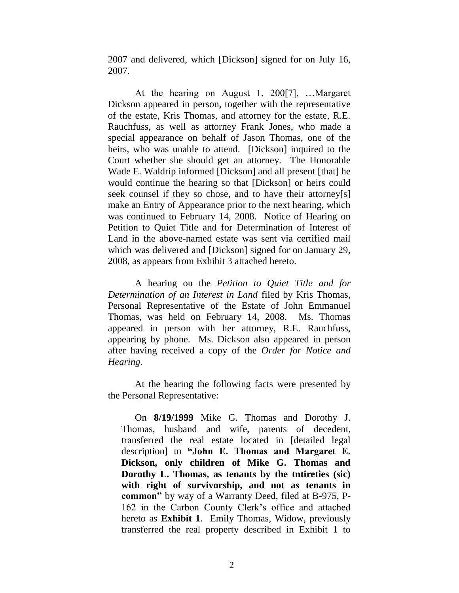2007 and delivered, which [Dickson] signed for on July 16, 2007.

At the hearing on August 1, 200[7], …Margaret Dickson appeared in person, together with the representative of the estate, Kris Thomas, and attorney for the estate, R.E. Rauchfuss, as well as attorney Frank Jones, who made a special appearance on behalf of Jason Thomas, one of the heirs, who was unable to attend. [Dickson] inquired to the Court whether she should get an attorney. The Honorable Wade E. Waldrip informed [Dickson] and all present [that] he would continue the hearing so that [Dickson] or heirs could seek counsel if they so chose, and to have their attorney[s] make an Entry of Appearance prior to the next hearing, which was continued to February 14, 2008. Notice of Hearing on Petition to Quiet Title and for Determination of Interest of Land in the above-named estate was sent via certified mail which was delivered and [Dickson] signed for on January 29, 2008, as appears from Exhibit 3 attached hereto.

A hearing on the *Petition to Quiet Title and for Determination of an Interest in Land* filed by Kris Thomas, Personal Representative of the Estate of John Emmanuel Thomas, was held on February 14, 2008. Ms. Thomas appeared in person with her attorney, R.E. Rauchfuss, appearing by phone. Ms. Dickson also appeared in person after having received a copy of the *Order for Notice and Hearing*.

At the hearing the following facts were presented by the Personal Representative:

On **8/19/1999** Mike G. Thomas and Dorothy J. Thomas, husband and wife, parents of decedent, transferred the real estate located in [detailed legal description] to **"John E. Thomas and Margaret E. Dickson, only children of Mike G. Thomas and Dorothy L. Thomas, as tenants by the tntireties (sic) with right of survivorship, and not as tenants in common"** by way of a Warranty Deed, filed at B-975, P-162 in the Carbon County Clerk"s office and attached hereto as **Exhibit 1**. Emily Thomas, Widow, previously transferred the real property described in Exhibit 1 to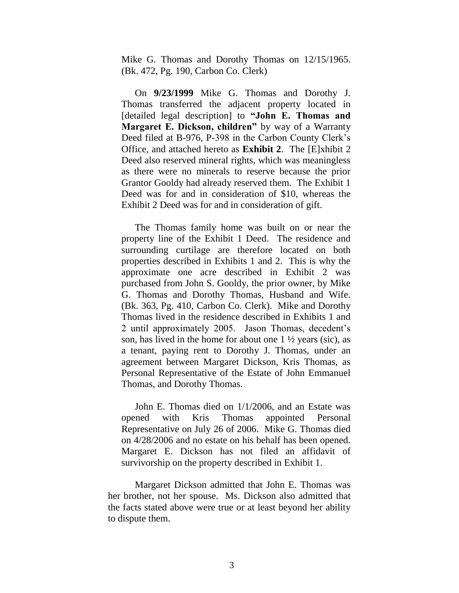Mike G. Thomas and Dorothy Thomas on 12/15/1965. (Bk. 472, Pg. 190, Carbon Co. Clerk)

On **9/23/1999** Mike G. Thomas and Dorothy J. Thomas transferred the adjacent property located in [detailed legal description] to **"John E. Thomas and Margaret E. Dickson, children"** by way of a Warranty Deed filed at B-976, P-398 in the Carbon County Clerk"s Office, and attached hereto as **Exhibit 2**. The [E]xhibit 2 Deed also reserved mineral rights, which was meaningless as there were no minerals to reserve because the prior Grantor Gooldy had already reserved them. The Exhibit 1 Deed was for and in consideration of \$10, whereas the Exhibit 2 Deed was for and in consideration of gift.

The Thomas family home was built on or near the property line of the Exhibit 1 Deed. The residence and surrounding curtilage are therefore located on both properties described in Exhibits 1 and 2. This is why the approximate one acre described in Exhibit 2 was purchased from John S. Gooldy, the prior owner, by Mike G. Thomas and Dorothy Thomas, Husband and Wife. (Bk. 363, Pg. 410, Carbon Co. Clerk). Mike and Dorothy Thomas lived in the residence described in Exhibits 1 and 2 until approximately 2005. Jason Thomas, decedent"s son, has lived in the home for about one  $1\frac{1}{2}$  years (sic), as a tenant, paying rent to Dorothy J. Thomas, under an agreement between Margaret Dickson, Kris Thomas, as Personal Representative of the Estate of John Emmanuel Thomas, and Dorothy Thomas.

John E. Thomas died on 1/1/2006, and an Estate was opened with Kris Thomas appointed Personal Representative on July 26 of 2006. Mike G. Thomas died on 4/28/2006 and no estate on his behalf has been opened. Margaret E. Dickson has not filed an affidavit of survivorship on the property described in Exhibit 1.

Margaret Dickson admitted that John E. Thomas was her brother, not her spouse. Ms. Dickson also admitted that the facts stated above were true or at least beyond her ability to dispute them.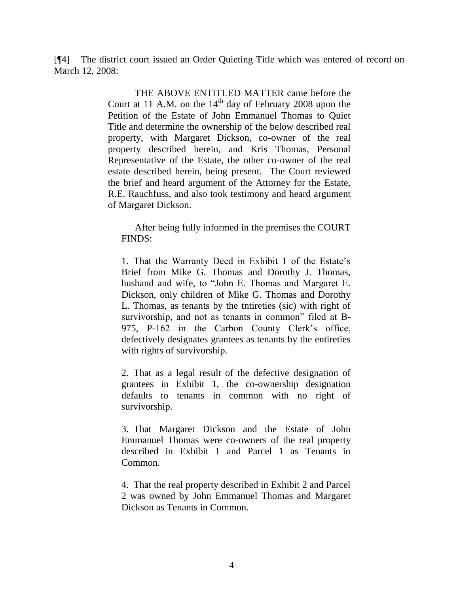[¶4] The district court issued an Order Quieting Title which was entered of record on March 12, 2008:

> THE ABOVE ENTITLED MATTER came before the Court at 11 A.M. on the  $14<sup>th</sup>$  day of February 2008 upon the Petition of the Estate of John Emmanuel Thomas to Quiet Title and determine the ownership of the below described real property, with Margaret Dickson, co-owner of the real property described herein, and Kris Thomas, Personal Representative of the Estate, the other co-owner of the real estate described herein, being present. The Court reviewed the brief and heard argument of the Attorney for the Estate, R.E. Rauchfuss, and also took testimony and heard argument of Margaret Dickson.

After being fully informed in the premises the COURT FINDS:

1. That the Warranty Deed in Exhibit 1 of the Estate"s Brief from Mike G. Thomas and Dorothy J. Thomas, husband and wife, to "John E. Thomas and Margaret E. Dickson, only children of Mike G. Thomas and Dorothy L. Thomas, as tenants by the tntireties (sic) with right of survivorship, and not as tenants in common" filed at B-975, P-162 in the Carbon County Clerk's office, defectively designates grantees as tenants by the entireties with rights of survivorship.

2. That as a legal result of the defective designation of grantees in Exhibit 1, the co-ownership designation defaults to tenants in common with no right of survivorship.

3. That Margaret Dickson and the Estate of John Emmanuel Thomas were co-owners of the real property described in Exhibit 1 and Parcel 1 as Tenants in Common.

4. That the real property described in Exhibit 2 and Parcel 2 was owned by John Emmanuel Thomas and Margaret Dickson as Tenants in Common.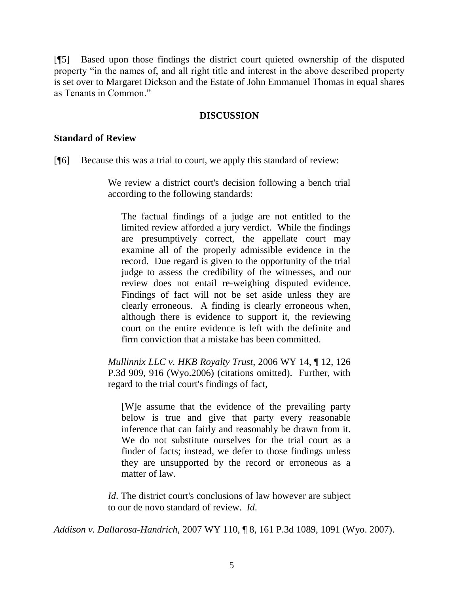[¶5] Based upon those findings the district court quieted ownership of the disputed property "in the names of, and all right title and interest in the above described property is set over to Margaret Dickson and the Estate of John Emmanuel Thomas in equal shares as Tenants in Common."

## **DISCUSSION**

### **Standard of Review**

[¶6] Because this was a trial to court, we apply this standard of review:

We review a district court's decision following a bench trial according to the following standards:

The factual findings of a judge are not entitled to the limited review afforded a jury verdict. While the findings are presumptively correct, the appellate court may examine all of the properly admissible evidence in the record. Due regard is given to the opportunity of the trial judge to assess the credibility of the witnesses, and our review does not entail re-weighing disputed evidence. Findings of fact will not be set aside unless they are clearly erroneous. A finding is clearly erroneous when, although there is evidence to support it, the reviewing court on the entire evidence is left with the definite and firm conviction that a mistake has been committed.

*Mullinnix LLC v. HKB Royalty Trust*, 2006 WY 14, ¶ 12, 126 P.3d 909, 916 (Wyo.2006) (citations omitted). Further, with regard to the trial court's findings of fact,

[W]e assume that the evidence of the prevailing party below is true and give that party every reasonable inference that can fairly and reasonably be drawn from it. We do not substitute ourselves for the trial court as a finder of facts; instead, we defer to those findings unless they are unsupported by the record or erroneous as a matter of law.

*Id*. The district court's conclusions of law however are subject to our de novo standard of review. *Id*.

*Addison v. Dallarosa-Handrich*, 2007 WY 110, ¶ 8, 161 P.3d 1089, 1091 (Wyo. 2007).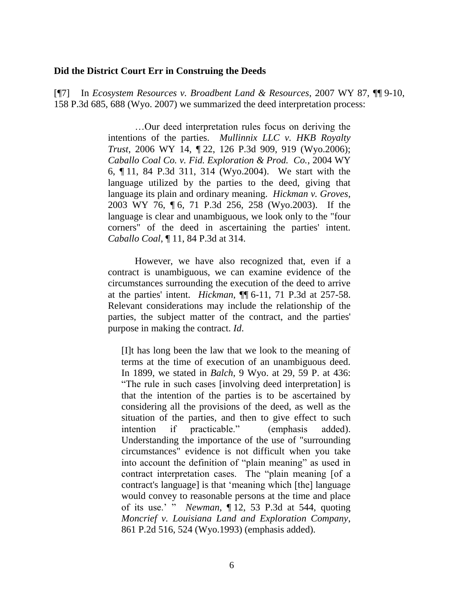#### **Did the District Court Err in Construing the Deeds**

[¶7] In *Ecosystem Resources v. Broadbent Land & Resources*, 2007 WY 87, ¶¶ 9-10, 158 P.3d 685, 688 (Wyo. 2007) we summarized the deed interpretation process:

> …Our deed interpretation rules focus on deriving the intentions of the parties. *Mullinnix LLC v. HKB Royalty Trust*, 2006 WY 14, ¶ 22, 126 P.3d 909, 919 (Wyo.2006); *Caballo Coal Co. v. Fid. Exploration & Prod. Co.*, 2004 WY 6, ¶ 11, 84 P.3d 311, 314 (Wyo.2004). We start with the language utilized by the parties to the deed, giving that language its plain and ordinary meaning. *Hickman v. Groves*, 2003 WY 76, ¶ 6, 71 P.3d 256, 258 (Wyo.2003). If the language is clear and unambiguous, we look only to the "four corners" of the deed in ascertaining the parties' intent. *Caballo Coal*, ¶ 11, 84 P.3d at 314.

> However, we have also recognized that, even if a contract is unambiguous, we can examine evidence of the circumstances surrounding the execution of the deed to arrive at the parties' intent. *Hickman*, ¶¶ 6-11, 71 P.3d at 257-58. Relevant considerations may include the relationship of the parties, the subject matter of the contract, and the parties' purpose in making the contract. *Id*.

[I]t has long been the law that we look to the meaning of terms at the time of execution of an unambiguous deed. In 1899, we stated in *Balch*, 9 Wyo. at 29, 59 P. at 436: "The rule in such cases [involving deed interpretation] is that the intention of the parties is to be ascertained by considering all the provisions of the deed, as well as the situation of the parties, and then to give effect to such intention if practicable." (emphasis added). Understanding the importance of the use of "surrounding circumstances" evidence is not difficult when you take into account the definition of "plain meaning" as used in contract interpretation cases. The "plain meaning [of a contract's language] is that "meaning which [the] language would convey to reasonable persons at the time and place of its use." " *Newman*, ¶ 12, 53 P.3d at 544, quoting *Moncrief v. Louisiana Land and Exploration Company*, 861 P.2d 516, 524 (Wyo.1993) (emphasis added).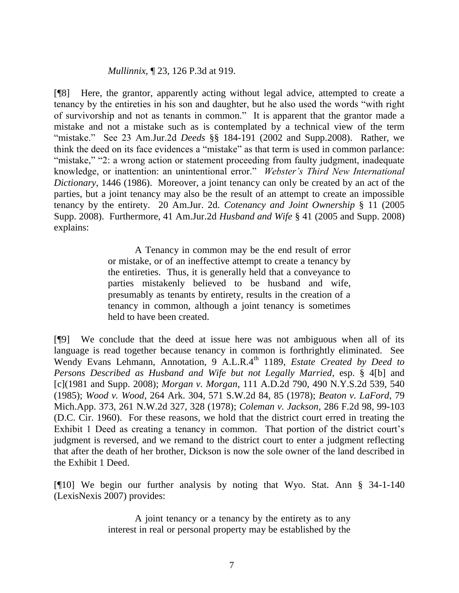### *Mullinnix*, ¶ 23, 126 P.3d at 919.

[¶8] Here, the grantor, apparently acting without legal advice, attempted to create a tenancy by the entireties in his son and daughter, but he also used the words "with right of survivorship and not as tenants in common." It is apparent that the grantor made a mistake and not a mistake such as is contemplated by a technical view of the term "mistake." See 23 Am.Jur.2d *Deeds* §§ 184-191 (2002 and Supp.2008). Rather, we think the deed on its face evidences a "mistake" as that term is used in common parlance: "mistake," "2: a wrong action or statement proceeding from faulty judgment, inadequate knowledge, or inattention: an unintentional error." *Webster's Third New International Dictionary*, 1446 (1986). Moreover, a joint tenancy can only be created by an act of the parties, but a joint tenancy may also be the result of an attempt to create an impossible tenancy by the entirety. 20 Am.Jur. 2d. *Cotenancy and Joint Ownership* § 11 (2005 Supp. 2008). Furthermore, 41 Am.Jur.2d *Husband and Wife* § 41 (2005 and Supp. 2008) explains:

> A Tenancy in common may be the end result of error or mistake, or of an ineffective attempt to create a tenancy by the entireties. Thus, it is generally held that a conveyance to parties mistakenly believed to be husband and wife, presumably as tenants by entirety, results in the creation of a tenancy in common, although a joint tenancy is sometimes held to have been created.

[¶9] We conclude that the deed at issue here was not ambiguous when all of its language is read together because tenancy in common is forthrightly eliminated. See Wendy Evans Lehmann, Annotation, 9 A.L.R.4<sup>th</sup> 1189, *Estate Created by Deed to Persons Described as Husband and Wife but not Legally Married*, esp. § 4[b] and [c](1981 and Supp. 2008); *Morgan v. Morgan*, 111 A.D.2d 790, 490 N.Y.S.2d 539, 540 (1985); *Wood v. Wood*, 264 Ark. 304, 571 S.W.2d 84, 85 (1978); *Beaton v. LaFord*, 79 Mich.App. 373, 261 N.W.2d 327, 328 (1978); *Coleman v. Jackson*, 286 F.2d 98, 99-103 (D.C. Cir. 1960). For these reasons, we hold that the district court erred in treating the Exhibit 1 Deed as creating a tenancy in common. That portion of the district court's judgment is reversed, and we remand to the district court to enter a judgment reflecting that after the death of her brother, Dickson is now the sole owner of the land described in the Exhibit 1 Deed.

[¶10] We begin our further analysis by noting that Wyo. Stat. Ann § 34-1-140 (LexisNexis 2007) provides:

> A joint tenancy or a tenancy by the entirety as to any interest in real or personal property may be established by the